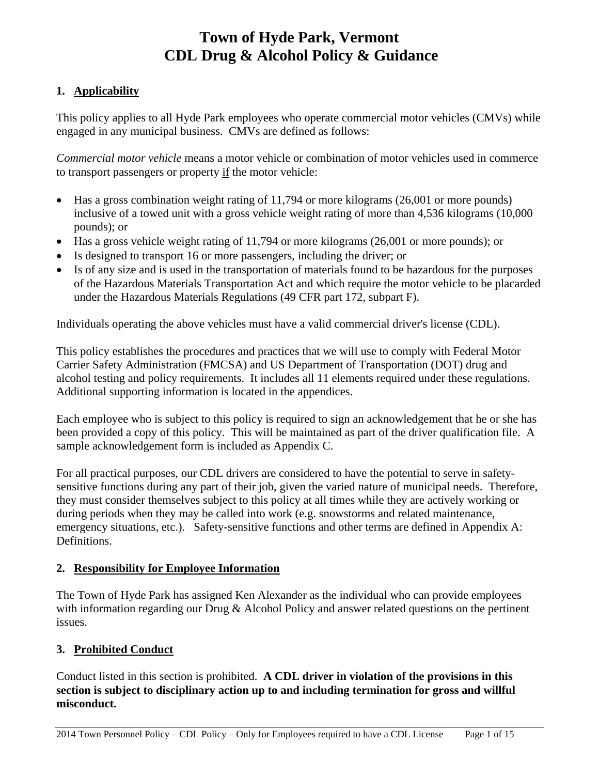### **1. Applicability**

This policy applies to all Hyde Park employees who operate commercial motor vehicles (CMVs) while engaged in any municipal business. CMVs are defined as follows:

*Commercial motor vehicle* means a motor vehicle or combination of motor vehicles used in commerce to transport passengers or property if the motor vehicle:

- Has a gross combination weight rating of 11,794 or more kilograms (26,001 or more pounds) inclusive of a towed unit with a gross vehicle weight rating of more than 4,536 kilograms (10,000 pounds); or
- Has a gross vehicle weight rating of 11,794 or more kilograms (26,001 or more pounds); or
- Is designed to transport 16 or more passengers, including the driver; or
- Is of any size and is used in the transportation of materials found to be hazardous for the purposes of the Hazardous Materials Transportation Act and which require the motor vehicle to be placarded under the Hazardous Materials Regulations (49 CFR part 172, subpart F).

Individuals operating the above vehicles must have a valid commercial driver's license (CDL).

This policy establishes the procedures and practices that we will use to comply with Federal Motor Carrier Safety Administration (FMCSA) and US Department of Transportation (DOT) drug and alcohol testing and policy requirements. It includes all 11 elements required under these regulations. Additional supporting information is located in the appendices.

Each employee who is subject to this policy is required to sign an acknowledgement that he or she has been provided a copy of this policy. This will be maintained as part of the driver qualification file. A sample acknowledgement form is included as Appendix C.

For all practical purposes, our CDL drivers are considered to have the potential to serve in safetysensitive functions during any part of their job, given the varied nature of municipal needs. Therefore, they must consider themselves subject to this policy at all times while they are actively working or during periods when they may be called into work (e.g. snowstorms and related maintenance, emergency situations, etc.). Safety-sensitive functions and other terms are defined in Appendix A: Definitions.

### **2. Responsibility for Employee Information**

The Town of Hyde Park has assigned Ken Alexander as the individual who can provide employees with information regarding our Drug & Alcohol Policy and answer related questions on the pertinent issues.

### **3. Prohibited Conduct**

Conduct listed in this section is prohibited. **A CDL driver in violation of the provisions in this section is subject to disciplinary action up to and including termination for gross and willful misconduct.**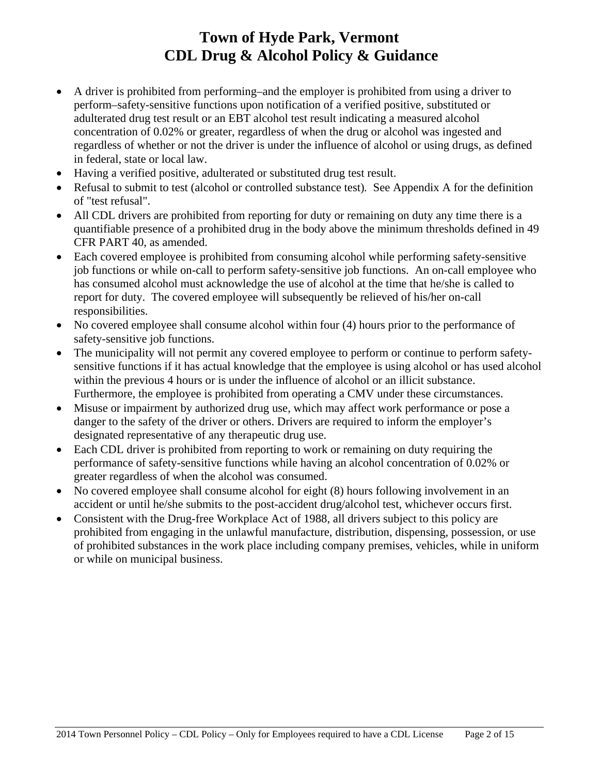- A driver is prohibited from performing–and the employer is prohibited from using a driver to perform–safety-sensitive functions upon notification of a verified positive, substituted or adulterated drug test result or an EBT alcohol test result indicating a measured alcohol concentration of 0.02% or greater, regardless of when the drug or alcohol was ingested and regardless of whether or not the driver is under the influence of alcohol or using drugs, as defined in federal, state or local law.
- Having a verified positive, adulterated or substituted drug test result.
- Refusal to submit to test (alcohol or controlled substance test)*.* See Appendix A for the definition of "test refusal".
- All CDL drivers are prohibited from reporting for duty or remaining on duty any time there is a quantifiable presence of a prohibited drug in the body above the minimum thresholds defined in 49 CFR PART 40, as amended.
- Each covered employee is prohibited from consuming alcohol while performing safety-sensitive job functions or while on-call to perform safety-sensitive job functions. An on-call employee who has consumed alcohol must acknowledge the use of alcohol at the time that he/she is called to report for duty. The covered employee will subsequently be relieved of his/her on-call responsibilities.
- No covered employee shall consume alcohol within four (4) hours prior to the performance of safety-sensitive job functions.
- The municipality will not permit any covered employee to perform or continue to perform safetysensitive functions if it has actual knowledge that the employee is using alcohol or has used alcohol within the previous 4 hours or is under the influence of alcohol or an illicit substance. Furthermore, the employee is prohibited from operating a CMV under these circumstances.
- Misuse or impairment by authorized drug use, which may affect work performance or pose a danger to the safety of the driver or others. Drivers are required to inform the employer's designated representative of any therapeutic drug use.
- Each CDL driver is prohibited from reporting to work or remaining on duty requiring the performance of safety-sensitive functions while having an alcohol concentration of 0.02% or greater regardless of when the alcohol was consumed.
- No covered employee shall consume alcohol for eight (8) hours following involvement in an accident or until he/she submits to the post-accident drug/alcohol test, whichever occurs first.
- Consistent with the Drug-free Workplace Act of 1988, all drivers subject to this policy are prohibited from engaging in the unlawful manufacture, distribution, dispensing, possession, or use of prohibited substances in the work place including company premises, vehicles, while in uniform or while on municipal business.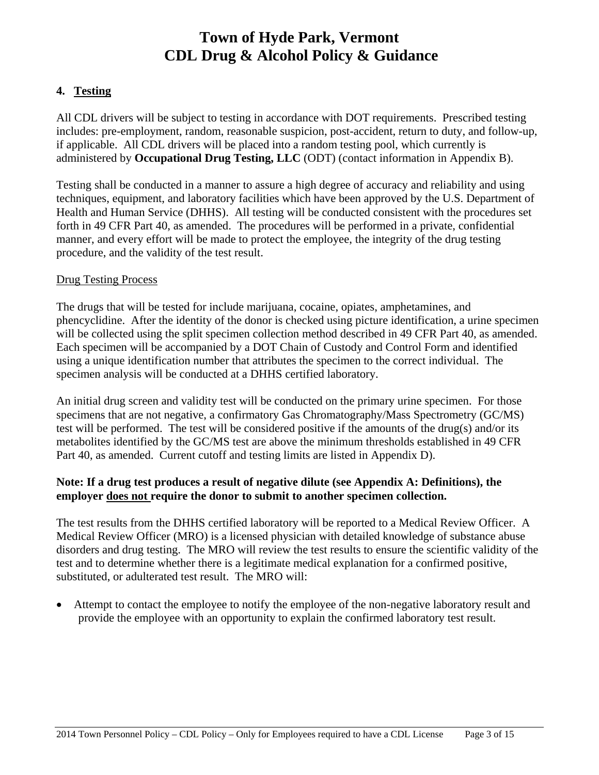### **4. Testing**

All CDL drivers will be subject to testing in accordance with DOT requirements. Prescribed testing includes: pre-employment, random, reasonable suspicion, post-accident, return to duty, and follow-up, if applicable. All CDL drivers will be placed into a random testing pool, which currently is administered by **Occupational Drug Testing, LLC** (ODT) (contact information in Appendix B).

Testing shall be conducted in a manner to assure a high degree of accuracy and reliability and using techniques, equipment, and laboratory facilities which have been approved by the U.S. Department of Health and Human Service (DHHS). All testing will be conducted consistent with the procedures set forth in 49 CFR Part 40, as amended. The procedures will be performed in a private, confidential manner, and every effort will be made to protect the employee, the integrity of the drug testing procedure, and the validity of the test result.

#### Drug Testing Process

The drugs that will be tested for include marijuana, cocaine, opiates, amphetamines, and phencyclidine. After the identity of the donor is checked using picture identification, a urine specimen will be collected using the split specimen collection method described in 49 CFR Part 40, as amended. Each specimen will be accompanied by a DOT Chain of Custody and Control Form and identified using a unique identification number that attributes the specimen to the correct individual. The specimen analysis will be conducted at a DHHS certified laboratory.

An initial drug screen and validity test will be conducted on the primary urine specimen. For those specimens that are not negative, a confirmatory Gas Chromatography/Mass Spectrometry (GC/MS) test will be performed. The test will be considered positive if the amounts of the drug(s) and/or its metabolites identified by the GC/MS test are above the minimum thresholds established in 49 CFR Part 40, as amended. Current cutoff and testing limits are listed in Appendix D).

### **Note: If a drug test produces a result of negative dilute (see Appendix A: Definitions), the employer does not require the donor to submit to another specimen collection.**

The test results from the DHHS certified laboratory will be reported to a Medical Review Officer. A Medical Review Officer (MRO) is a licensed physician with detailed knowledge of substance abuse disorders and drug testing. The MRO will review the test results to ensure the scientific validity of the test and to determine whether there is a legitimate medical explanation for a confirmed positive, substituted, or adulterated test result. The MRO will:

• Attempt to contact the employee to notify the employee of the non-negative laboratory result and provide the employee with an opportunity to explain the confirmed laboratory test result.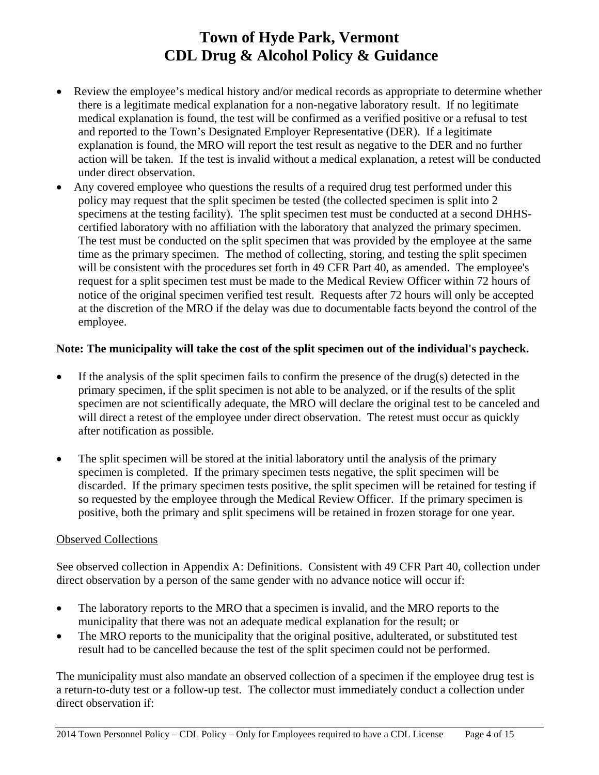- Review the employee's medical history and/or medical records as appropriate to determine whether there is a legitimate medical explanation for a non-negative laboratory result. If no legitimate medical explanation is found, the test will be confirmed as a verified positive or a refusal to test and reported to the Town's Designated Employer Representative (DER). If a legitimate explanation is found, the MRO will report the test result as negative to the DER and no further action will be taken. If the test is invalid without a medical explanation, a retest will be conducted under direct observation.
- Any covered employee who questions the results of a required drug test performed under this policy may request that the split specimen be tested (the collected specimen is split into 2 specimens at the testing facility). The split specimen test must be conducted at a second DHHScertified laboratory with no affiliation with the laboratory that analyzed the primary specimen. The test must be conducted on the split specimen that was provided by the employee at the same time as the primary specimen. The method of collecting, storing, and testing the split specimen will be consistent with the procedures set forth in 49 CFR Part 40, as amended. The employee's request for a split specimen test must be made to the Medical Review Officer within 72 hours of notice of the original specimen verified test result. Requests after 72 hours will only be accepted at the discretion of the MRO if the delay was due to documentable facts beyond the control of the employee.

#### **Note: The municipality will take the cost of the split specimen out of the individual's paycheck.**

- If the analysis of the split specimen fails to confirm the presence of the drug(s) detected in the primary specimen, if the split specimen is not able to be analyzed, or if the results of the split specimen are not scientifically adequate, the MRO will declare the original test to be canceled and will direct a retest of the employee under direct observation. The retest must occur as quickly after notification as possible.
- The split specimen will be stored at the initial laboratory until the analysis of the primary specimen is completed. If the primary specimen tests negative, the split specimen will be discarded. If the primary specimen tests positive, the split specimen will be retained for testing if so requested by the employee through the Medical Review Officer. If the primary specimen is positive, both the primary and split specimens will be retained in frozen storage for one year.

#### Observed Collections

See observed collection in Appendix A: Definitions. Consistent with 49 CFR Part 40, collection under direct observation by a person of the same gender with no advance notice will occur if:

- The laboratory reports to the MRO that a specimen is invalid, and the MRO reports to the municipality that there was not an adequate medical explanation for the result; or
- The MRO reports to the municipality that the original positive, adulterated, or substituted test result had to be cancelled because the test of the split specimen could not be performed.

The municipality must also mandate an observed collection of a specimen if the employee drug test is a return-to-duty test or a follow-up test. The collector must immediately conduct a collection under direct observation if: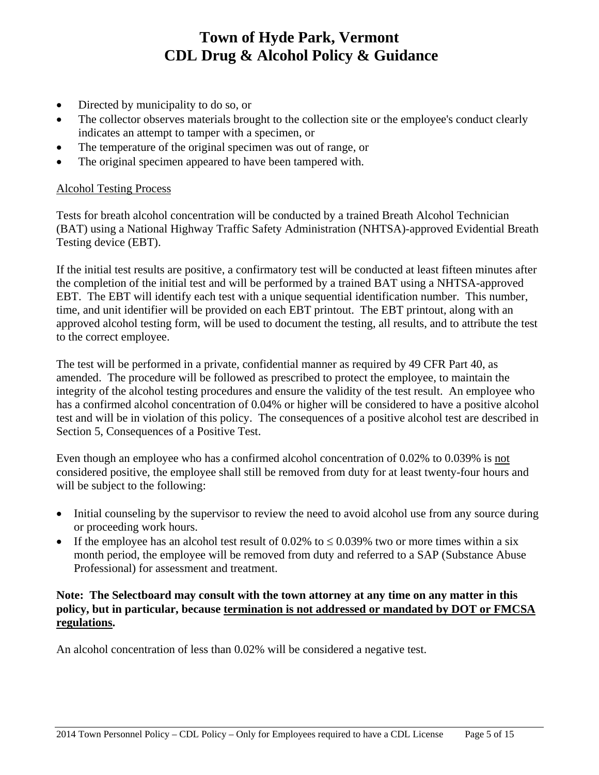- Directed by municipality to do so, or
- The collector observes materials brought to the collection site or the employee's conduct clearly indicates an attempt to tamper with a specimen, or
- The temperature of the original specimen was out of range, or
- The original specimen appeared to have been tampered with.

#### Alcohol Testing Process

Tests for breath alcohol concentration will be conducted by a trained Breath Alcohol Technician (BAT) using a National Highway Traffic Safety Administration (NHTSA)-approved Evidential Breath Testing device (EBT).

If the initial test results are positive, a confirmatory test will be conducted at least fifteen minutes after the completion of the initial test and will be performed by a trained BAT using a NHTSA-approved EBT. The EBT will identify each test with a unique sequential identification number. This number, time, and unit identifier will be provided on each EBT printout. The EBT printout, along with an approved alcohol testing form, will be used to document the testing, all results, and to attribute the test to the correct employee.

The test will be performed in a private, confidential manner as required by 49 CFR Part 40, as amended. The procedure will be followed as prescribed to protect the employee, to maintain the integrity of the alcohol testing procedures and ensure the validity of the test result. An employee who has a confirmed alcohol concentration of 0.04% or higher will be considered to have a positive alcohol test and will be in violation of this policy. The consequences of a positive alcohol test are described in Section 5, Consequences of a Positive Test.

Even though an employee who has a confirmed alcohol concentration of 0.02% to 0.039% is not considered positive, the employee shall still be removed from duty for at least twenty-four hours and will be subject to the following:

- Initial counseling by the supervisor to review the need to avoid alcohol use from any source during or proceeding work hours.
- If the employee has an alcohol test result of 0.02% to  $\leq$  0.039% two or more times within a six month period, the employee will be removed from duty and referred to a SAP (Substance Abuse Professional) for assessment and treatment.

#### **Note: The Selectboard may consult with the town attorney at any time on any matter in this policy, but in particular, because termination is not addressed or mandated by DOT or FMCSA regulations.**

An alcohol concentration of less than 0.02% will be considered a negative test.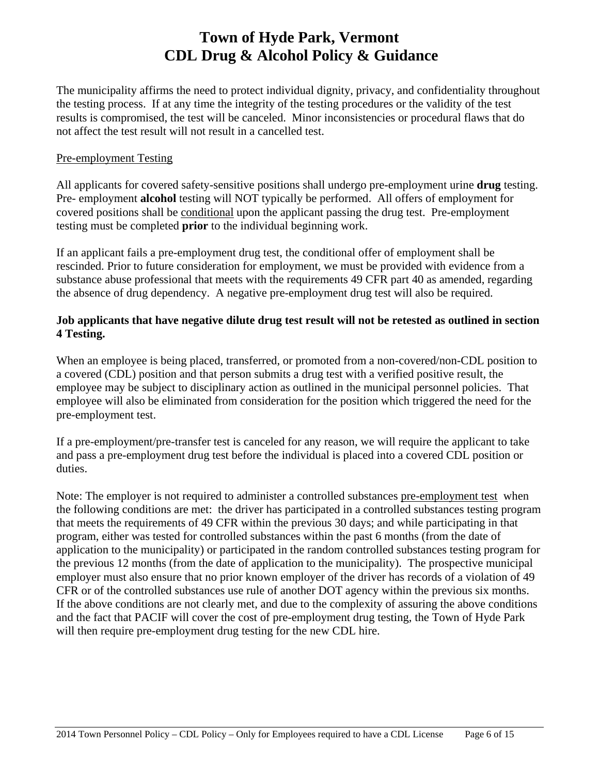The municipality affirms the need to protect individual dignity, privacy, and confidentiality throughout the testing process. If at any time the integrity of the testing procedures or the validity of the test results is compromised, the test will be canceled. Minor inconsistencies or procedural flaws that do not affect the test result will not result in a cancelled test.

#### Pre-employment Testing

All applicants for covered safety-sensitive positions shall undergo pre-employment urine **drug** testing. Pre- employment **alcohol** testing will NOT typically be performed. All offers of employment for covered positions shall be conditional upon the applicant passing the drug test. Pre-employment testing must be completed **prior** to the individual beginning work.

If an applicant fails a pre-employment drug test, the conditional offer of employment shall be rescinded. Prior to future consideration for employment, we must be provided with evidence from a substance abuse professional that meets with the requirements 49 CFR part 40 as amended, regarding the absence of drug dependency. A negative pre-employment drug test will also be required.

#### **Job applicants that have negative dilute drug test result will not be retested as outlined in section 4 Testing.**

When an employee is being placed, transferred, or promoted from a non-covered/non-CDL position to a covered (CDL) position and that person submits a drug test with a verified positive result, the employee may be subject to disciplinary action as outlined in the municipal personnel policies. That employee will also be eliminated from consideration for the position which triggered the need for the pre-employment test.

If a pre-employment/pre-transfer test is canceled for any reason, we will require the applicant to take and pass a pre-employment drug test before the individual is placed into a covered CDL position or duties.

Note: The employer is not required to administer a controlled substances pre-employment test when the following conditions are met: the driver has participated in a controlled substances testing program that meets the requirements of 49 CFR within the previous 30 days; and while participating in that program, either was tested for controlled substances within the past 6 months (from the date of application to the municipality) or participated in the random controlled substances testing program for the previous 12 months (from the date of application to the municipality). The prospective municipal employer must also ensure that no prior known employer of the driver has records of a violation of 49 CFR or of the controlled substances use rule of another DOT agency within the previous six months. If the above conditions are not clearly met, and due to the complexity of assuring the above conditions and the fact that PACIF will cover the cost of pre-employment drug testing, the Town of Hyde Park will then require pre-employment drug testing for the new CDL hire.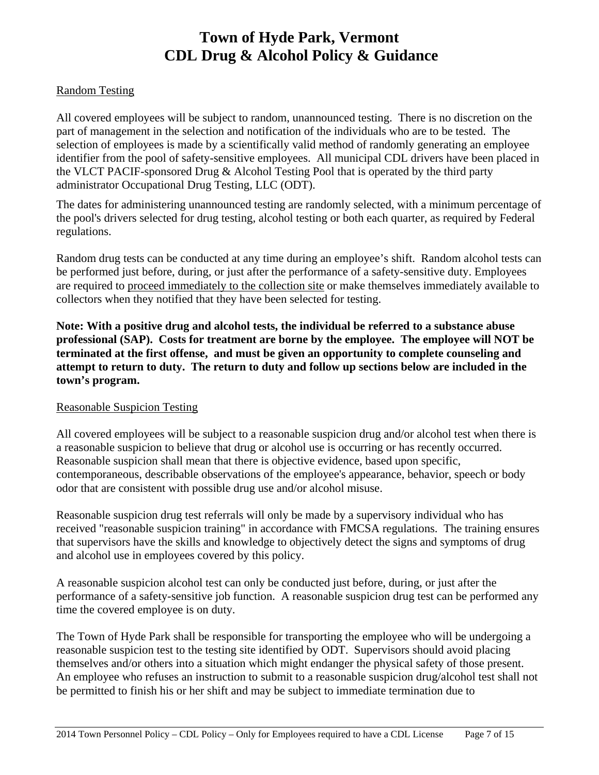#### Random Testing

All covered employees will be subject to random, unannounced testing. There is no discretion on the part of management in the selection and notification of the individuals who are to be tested. The selection of employees is made by a scientifically valid method of randomly generating an employee identifier from the pool of safety-sensitive employees. All municipal CDL drivers have been placed in the VLCT PACIF-sponsored Drug & Alcohol Testing Pool that is operated by the third party administrator Occupational Drug Testing, LLC (ODT).

The dates for administering unannounced testing are randomly selected, with a minimum percentage of the pool's drivers selected for drug testing, alcohol testing or both each quarter, as required by Federal regulations.

Random drug tests can be conducted at any time during an employee's shift. Random alcohol tests can be performed just before, during, or just after the performance of a safety-sensitive duty. Employees are required to proceed immediately to the collection site or make themselves immediately available to collectors when they notified that they have been selected for testing.

**Note: With a positive drug and alcohol tests, the individual be referred to a substance abuse professional (SAP). Costs for treatment are borne by the employee. The employee will NOT be terminated at the first offense, and must be given an opportunity to complete counseling and attempt to return to duty. The return to duty and follow up sections below are included in the town's program.** 

#### Reasonable Suspicion Testing

All covered employees will be subject to a reasonable suspicion drug and/or alcohol test when there is a reasonable suspicion to believe that drug or alcohol use is occurring or has recently occurred. Reasonable suspicion shall mean that there is objective evidence, based upon specific, contemporaneous, describable observations of the employee's appearance, behavior, speech or body odor that are consistent with possible drug use and/or alcohol misuse.

Reasonable suspicion drug test referrals will only be made by a supervisory individual who has received "reasonable suspicion training" in accordance with FMCSA regulations. The training ensures that supervisors have the skills and knowledge to objectively detect the signs and symptoms of drug and alcohol use in employees covered by this policy.

A reasonable suspicion alcohol test can only be conducted just before, during, or just after the performance of a safety-sensitive job function. A reasonable suspicion drug test can be performed any time the covered employee is on duty.

The Town of Hyde Park shall be responsible for transporting the employee who will be undergoing a reasonable suspicion test to the testing site identified by ODT. Supervisors should avoid placing themselves and/or others into a situation which might endanger the physical safety of those present. An employee who refuses an instruction to submit to a reasonable suspicion drug/alcohol test shall not be permitted to finish his or her shift and may be subject to immediate termination due to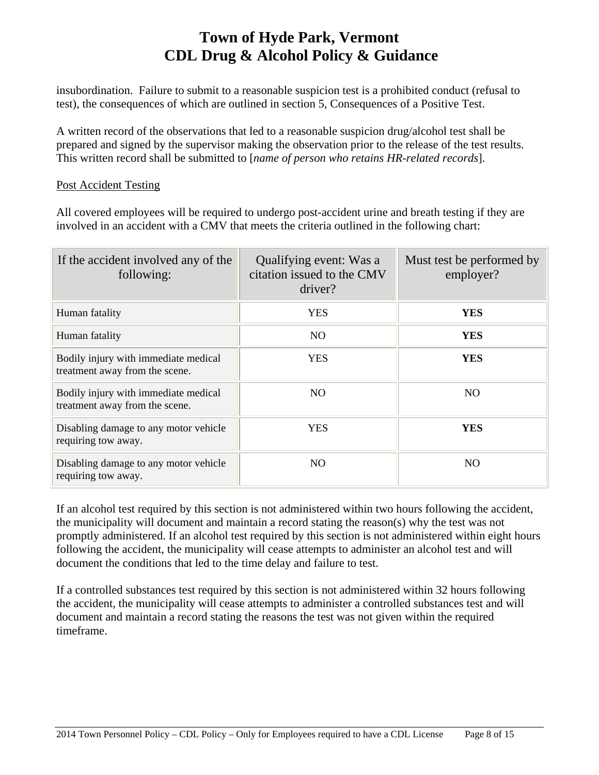insubordination. Failure to submit to a reasonable suspicion test is a prohibited conduct (refusal to test), the consequences of which are outlined in section 5, Consequences of a Positive Test.

A written record of the observations that led to a reasonable suspicion drug/alcohol test shall be prepared and signed by the supervisor making the observation prior to the release of the test results. This written record shall be submitted to [*name of person who retains HR-related records*].

#### Post Accident Testing

All covered employees will be required to undergo post-accident urine and breath testing if they are involved in an accident with a CMV that meets the criteria outlined in the following chart:

| If the accident involved any of the<br>following:                      | Qualifying event: Was a<br>citation issued to the CMV<br>driver? | Must test be performed by<br>employer? |
|------------------------------------------------------------------------|------------------------------------------------------------------|----------------------------------------|
| Human fatality                                                         | <b>YES</b>                                                       | <b>YES</b>                             |
| Human fatality                                                         | N <sub>O</sub>                                                   | <b>YES</b>                             |
| Bodily injury with immediate medical<br>treatment away from the scene. | YES                                                              | YES                                    |
| Bodily injury with immediate medical<br>treatment away from the scene. | N <sub>O</sub>                                                   | N <sub>O</sub>                         |
| Disabling damage to any motor vehicle<br>requiring tow away.           | <b>YES</b>                                                       | <b>YES</b>                             |
| Disabling damage to any motor vehicle<br>requiring tow away.           | NO                                                               | N <sub>O</sub>                         |

If an alcohol test required by this section is not administered within two hours following the accident, the municipality will document and maintain a record stating the reason(s) why the test was not promptly administered. If an alcohol test required by this section is not administered within eight hours following the accident, the municipality will cease attempts to administer an alcohol test and will document the conditions that led to the time delay and failure to test.

If a controlled substances test required by this section is not administered within 32 hours following the accident, the municipality will cease attempts to administer a controlled substances test and will document and maintain a record stating the reasons the test was not given within the required timeframe.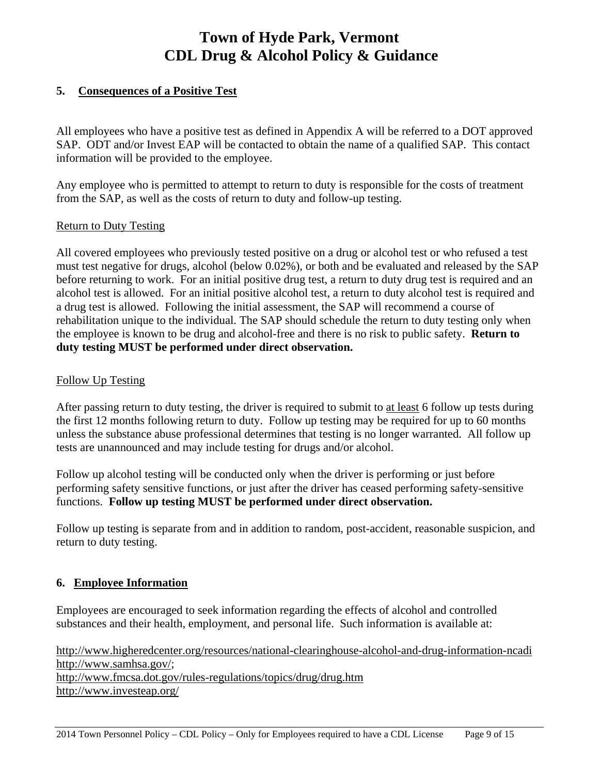### **5. Consequences of a Positive Test**

All employees who have a positive test as defined in Appendix A will be referred to a DOT approved SAP. ODT and/or Invest EAP will be contacted to obtain the name of a qualified SAP. This contact information will be provided to the employee.

Any employee who is permitted to attempt to return to duty is responsible for the costs of treatment from the SAP, as well as the costs of return to duty and follow-up testing.

#### Return to Duty Testing

All covered employees who previously tested positive on a drug or alcohol test or who refused a test must test negative for drugs, alcohol (below 0.02%), or both and be evaluated and released by the SAP before returning to work. For an initial positive drug test, a return to duty drug test is required and an alcohol test is allowed. For an initial positive alcohol test, a return to duty alcohol test is required and a drug test is allowed. Following the initial assessment, the SAP will recommend a course of rehabilitation unique to the individual. The SAP should schedule the return to duty testing only when the employee is known to be drug and alcohol-free and there is no risk to public safety. **Return to duty testing MUST be performed under direct observation.**

#### Follow Up Testing

After passing return to duty testing, the driver is required to submit to at least 6 follow up tests during the first 12 months following return to duty. Follow up testing may be required for up to 60 months unless the substance abuse professional determines that testing is no longer warranted. All follow up tests are unannounced and may include testing for drugs and/or alcohol.

Follow up alcohol testing will be conducted only when the driver is performing or just before performing safety sensitive functions, or just after the driver has ceased performing safety-sensitive functions. **Follow up testing MUST be performed under direct observation.**

Follow up testing is separate from and in addition to random, post-accident, reasonable suspicion, and return to duty testing.

### **6. Employee Information**

Employees are encouraged to seek information regarding the effects of alcohol and controlled substances and their health, employment, and personal life. Such information is available at:

http://www.higheredcenter.org/resources/national-clearinghouse-alcohol-and-drug-information-ncadi http://www.samhsa.gov/; http://www.fmcsa.dot.gov/rules-regulations/topics/drug/drug.htm http://www.investeap.org/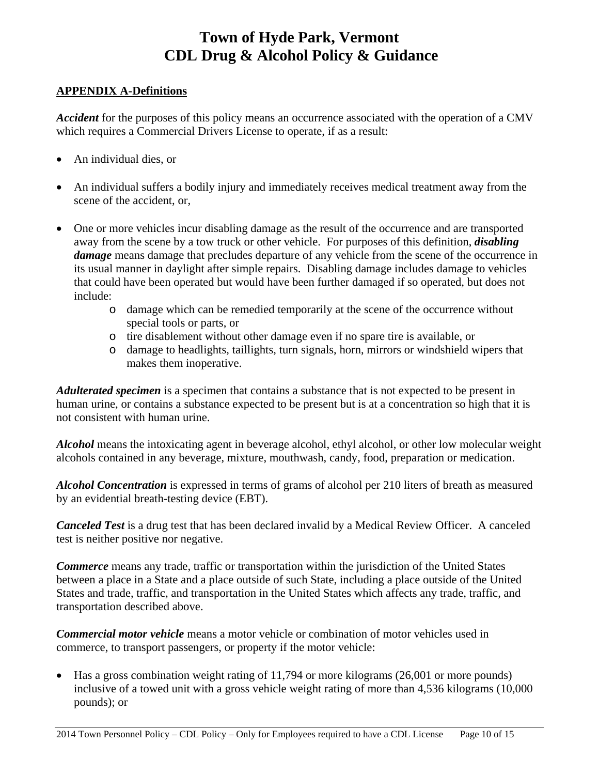#### **APPENDIX A-Definitions**

*Accident* for the purposes of this policy means an occurrence associated with the operation of a CMV which requires a Commercial Drivers License to operate, if as a result:

- An individual dies, or
- An individual suffers a bodily injury and immediately receives medical treatment away from the scene of the accident, or,
- One or more vehicles incur disabling damage as the result of the occurrence and are transported away from the scene by a tow truck or other vehicle. For purposes of this definition, *disabling damage* means damage that precludes departure of any vehicle from the scene of the occurrence in its usual manner in daylight after simple repairs. Disabling damage includes damage to vehicles that could have been operated but would have been further damaged if so operated, but does not include:
	- o damage which can be remedied temporarily at the scene of the occurrence without special tools or parts, or
	- o tire disablement without other damage even if no spare tire is available, or
	- o damage to headlights, taillights, turn signals, horn, mirrors or windshield wipers that makes them inoperative.

*Adulterated specimen* is a specimen that contains a substance that is not expected to be present in human urine, or contains a substance expected to be present but is at a concentration so high that it is not consistent with human urine.

*Alcohol* means the intoxicating agent in beverage alcohol, ethyl alcohol, or other low molecular weight alcohols contained in any beverage, mixture, mouthwash, candy, food, preparation or medication.

*Alcohol Concentration* is expressed in terms of grams of alcohol per 210 liters of breath as measured by an evidential breath-testing device (EBT).

*Canceled Test* is a drug test that has been declared invalid by a Medical Review Officer. A canceled test is neither positive nor negative.

*Commerce* means any trade, traffic or transportation within the jurisdiction of the United States between a place in a State and a place outside of such State, including a place outside of the United States and trade, traffic, and transportation in the United States which affects any trade, traffic, and transportation described above.

*Commercial motor vehicle* means a motor vehicle or combination of motor vehicles used in commerce, to transport passengers, or property if the motor vehicle:

• Has a gross combination weight rating of 11,794 or more kilograms (26,001 or more pounds) inclusive of a towed unit with a gross vehicle weight rating of more than 4,536 kilograms (10,000 pounds); or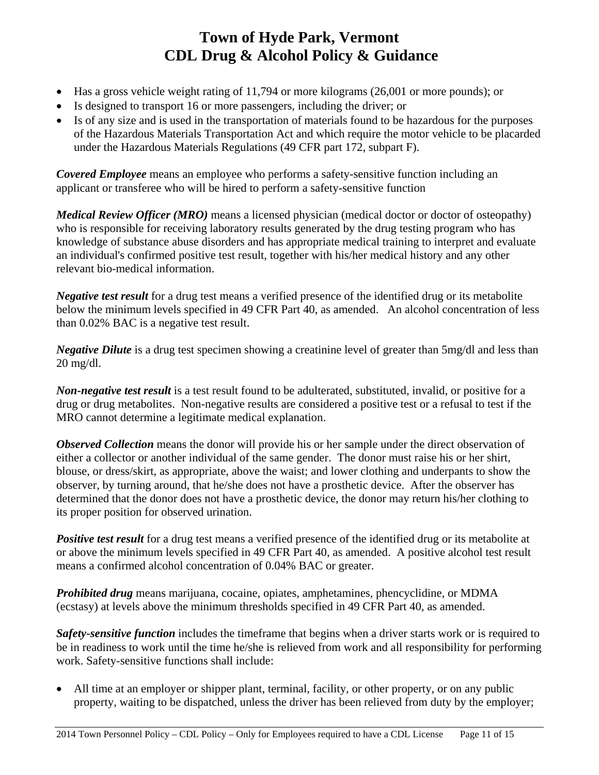- Has a gross vehicle weight rating of 11,794 or more kilograms (26,001 or more pounds); or
- Is designed to transport 16 or more passengers, including the driver; or
- Is of any size and is used in the transportation of materials found to be hazardous for the purposes of the Hazardous Materials Transportation Act and which require the motor vehicle to be placarded under the Hazardous Materials Regulations (49 CFR part 172, subpart F).

*Covered Employee* means an employee who performs a safety-sensitive function including an applicant or transferee who will be hired to perform a safety-sensitive function

*Medical Review Officer (MRO)* means a licensed physician (medical doctor or doctor of osteopathy) who is responsible for receiving laboratory results generated by the drug testing program who has knowledge of substance abuse disorders and has appropriate medical training to interpret and evaluate an individual's confirmed positive test result, together with his/her medical history and any other relevant bio-medical information.

*Negative test result* for a drug test means a verified presence of the identified drug or its metabolite below the minimum levels specified in 49 CFR Part 40, as amended. An alcohol concentration of less than 0.02% BAC is a negative test result.

*Negative Dilute* is a drug test specimen showing a creatinine level of greater than 5mg/dl and less than 20 mg/dl.

*Non-negative test result* is a test result found to be adulterated, substituted, invalid, or positive for a drug or drug metabolites. Non-negative results are considered a positive test or a refusal to test if the MRO cannot determine a legitimate medical explanation.

*Observed Collection* means the donor will provide his or her sample under the direct observation of either a collector or another individual of the same gender. The donor must raise his or her shirt, blouse, or dress/skirt, as appropriate, above the waist; and lower clothing and underpants to show the observer, by turning around, that he/she does not have a prosthetic device. After the observer has determined that the donor does not have a prosthetic device, the donor may return his/her clothing to its proper position for observed urination.

*Positive test result* for a drug test means a verified presence of the identified drug or its metabolite at or above the minimum levels specified in 49 CFR Part 40, as amended. A positive alcohol test result means a confirmed alcohol concentration of 0.04% BAC or greater.

*Prohibited drug* means marijuana, cocaine, opiates, amphetamines, phencyclidine, or MDMA (ecstasy) at levels above the minimum thresholds specified in 49 CFR Part 40, as amended.

*Safety-sensitive function* includes the timeframe that begins when a driver starts work or is required to be in readiness to work until the time he/she is relieved from work and all responsibility for performing work. Safety-sensitive functions shall include:

 All time at an employer or shipper plant, terminal, facility, or other property, or on any public property, waiting to be dispatched, unless the driver has been relieved from duty by the employer;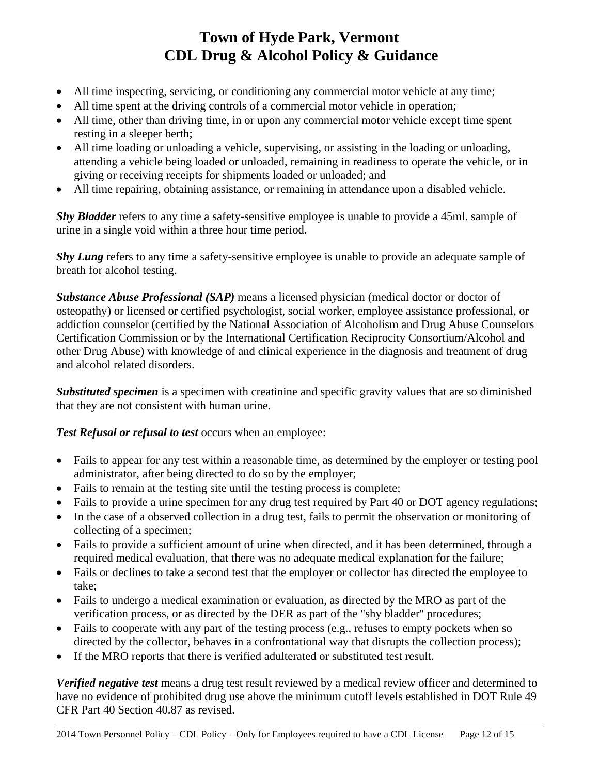- All time inspecting, servicing, or conditioning any commercial motor vehicle at any time;
- All time spent at the driving controls of a commercial motor vehicle in operation;
- All time, other than driving time, in or upon any commercial motor vehicle except time spent resting in a sleeper berth;
- All time loading or unloading a vehicle, supervising, or assisting in the loading or unloading, attending a vehicle being loaded or unloaded, remaining in readiness to operate the vehicle, or in giving or receiving receipts for shipments loaded or unloaded; and
- All time repairing, obtaining assistance, or remaining in attendance upon a disabled vehicle.

*Shy Bladder* refers to any time a safety-sensitive employee is unable to provide a 45ml. sample of urine in a single void within a three hour time period.

*Shy Lung* refers to any time a safety-sensitive employee is unable to provide an adequate sample of breath for alcohol testing.

*Substance Abuse Professional (SAP)* means a licensed physician (medical doctor or doctor of osteopathy) or licensed or certified psychologist, social worker, employee assistance professional, or addiction counselor (certified by the National Association of Alcoholism and Drug Abuse Counselors Certification Commission or by the International Certification Reciprocity Consortium/Alcohol and other Drug Abuse) with knowledge of and clinical experience in the diagnosis and treatment of drug and alcohol related disorders.

*Substituted specimen* is a specimen with creatinine and specific gravity values that are so diminished that they are not consistent with human urine.

*Test Refusal or refusal to test* occurs when an employee:

- Fails to appear for any test within a reasonable time, as determined by the employer or testing pool administrator, after being directed to do so by the employer;
- Fails to remain at the testing site until the testing process is complete;
- Fails to provide a urine specimen for any drug test required by Part 40 or DOT agency regulations;
- In the case of a observed collection in a drug test, fails to permit the observation or monitoring of collecting of a specimen;
- Fails to provide a sufficient amount of urine when directed, and it has been determined, through a required medical evaluation, that there was no adequate medical explanation for the failure;
- Fails or declines to take a second test that the employer or collector has directed the employee to take;
- Fails to undergo a medical examination or evaluation, as directed by the MRO as part of the verification process, or as directed by the DER as part of the "shy bladder'' procedures;
- Fails to cooperate with any part of the testing process (e.g., refuses to empty pockets when so directed by the collector, behaves in a confrontational way that disrupts the collection process);
- If the MRO reports that there is verified adulterated or substituted test result.

*Verified negative test* means a drug test result reviewed by a medical review officer and determined to have no evidence of prohibited drug use above the minimum cutoff levels established in DOT Rule 49 CFR Part 40 Section 40.87 as revised.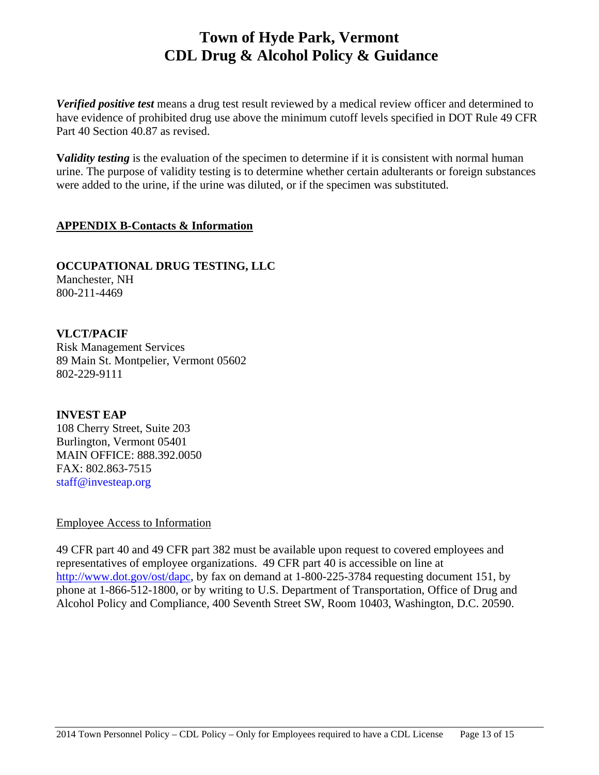*Verified positive test* means a drug test result reviewed by a medical review officer and determined to have evidence of prohibited drug use above the minimum cutoff levels specified in DOT Rule 49 CFR Part 40 Section 40.87 as revised.

**Validity testing** is the evaluation of the specimen to determine if it is consistent with normal human urine. The purpose of validity testing is to determine whether certain adulterants or foreign substances were added to the urine, if the urine was diluted, or if the specimen was substituted.

### **APPENDIX B-Contacts & Information**

**OCCUPATIONAL DRUG TESTING, LLC**  Manchester, NH 800-211-4469

**VLCT/PACIF**  Risk Management Services 89 Main St. Montpelier, Vermont 05602 802-229-9111

**INVEST EAP**  108 Cherry Street, Suite 203 Burlington, Vermont 05401 MAIN OFFICE: 888.392.0050 FAX: 802.863-7515 staff@investeap.org

Employee Access to Information

49 CFR part 40 and 49 CFR part 382 must be available upon request to covered employees and representatives of employee organizations. 49 CFR part 40 is accessible on line at http://www.dot.gov/ost/dapc, by fax on demand at 1-800-225-3784 requesting document 151, by phone at 1-866-512-1800, or by writing to U.S. Department of Transportation, Office of Drug and Alcohol Policy and Compliance, 400 Seventh Street SW, Room 10403, Washington, D.C. 20590.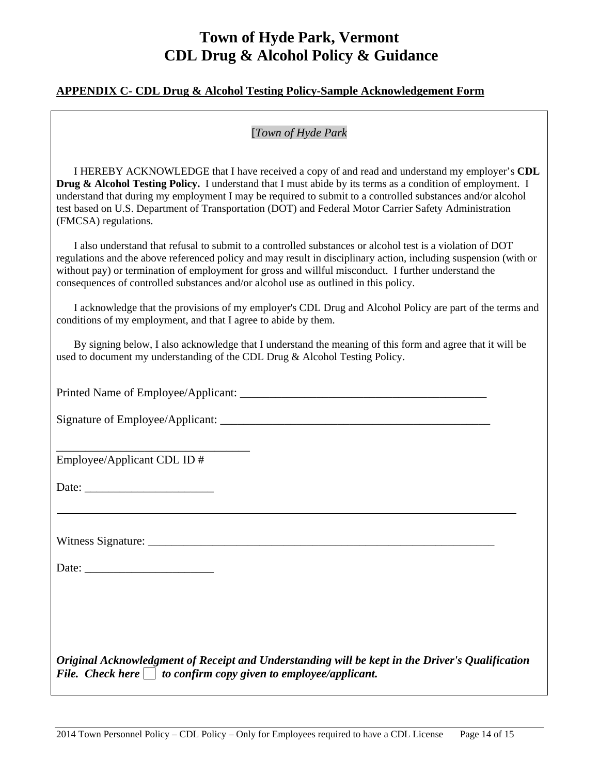#### **APPENDIX C- CDL Drug & Alcohol Testing Policy-Sample Acknowledgement Form**

### [*Town of Hyde Park*

 I HEREBY ACKNOWLEDGE that I have received a copy of and read and understand my employer's **CDL Drug & Alcohol Testing Policy.** I understand that I must abide by its terms as a condition of employment. I understand that during my employment I may be required to submit to a controlled substances and/or alcohol test based on U.S. Department of Transportation (DOT) and Federal Motor Carrier Safety Administration (FMCSA) regulations.

 I also understand that refusal to submit to a controlled substances or alcohol test is a violation of DOT regulations and the above referenced policy and may result in disciplinary action, including suspension (with or without pay) or termination of employment for gross and willful misconduct. I further understand the consequences of controlled substances and/or alcohol use as outlined in this policy.

 I acknowledge that the provisions of my employer's CDL Drug and Alcohol Policy are part of the terms and conditions of my employment, and that I agree to abide by them.

 By signing below, I also acknowledge that I understand the meaning of this form and agree that it will be used to document my understanding of the CDL Drug & Alcohol Testing Policy.

Printed Name of Employee/Applicant: \_\_\_\_\_\_\_\_\_\_\_\_\_\_\_\_\_\_\_\_\_\_\_\_\_\_\_\_\_\_\_\_\_\_\_\_\_\_\_\_\_\_

Signature of Employee/Applicant: \_\_\_\_\_\_\_\_\_\_\_\_\_\_\_\_\_\_\_\_\_\_\_\_\_\_\_\_\_\_\_\_\_\_\_\_\_\_\_\_\_\_\_\_\_\_

\_\_\_\_\_\_\_\_\_\_\_\_\_\_\_\_\_\_\_\_\_\_\_\_\_\_\_\_\_\_\_\_\_

Employee/Applicant CDL ID #

Date:

Witness Signature: \_\_\_\_\_\_\_\_\_\_\_\_\_\_\_\_\_\_\_\_\_\_\_\_\_\_\_\_\_\_\_\_\_\_\_\_\_\_\_\_\_\_\_\_\_\_\_\_\_\_\_\_\_\_\_\_\_\_\_

Date:

*Original Acknowledgment of Receipt and Understanding will be kept in the Driver's Qualification File.* Check here  $\Box$  to confirm copy given to employee/applicant.